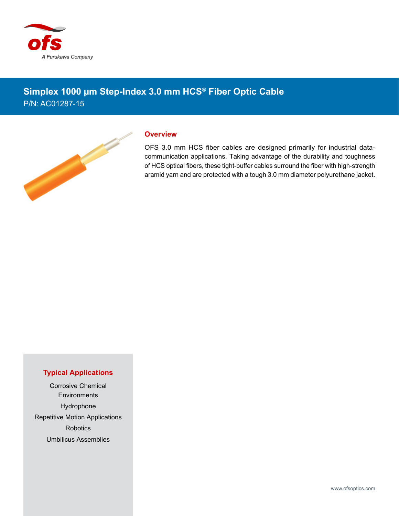

## **Simplex 1000 µm Step-Index 3.0 mm HCS® Fiber Optic Cable** P/N: AC01287-15



## **Overview**

OFS 3.0 mm HCS fiber cables are designed primarily for industrial datacommunication applications. Taking advantage of the durability and toughness of HCS optical fibers, these tight-buffer cables surround the fiber with high-strength aramid yarn and are protected with a tough 3.0 mm diameter polyurethane jacket.

## **Typical Applications**

Corrosive Chemical **Environments** Hydrophone Repetitive Motion Applications **Robotics** Umbilicus Assemblies